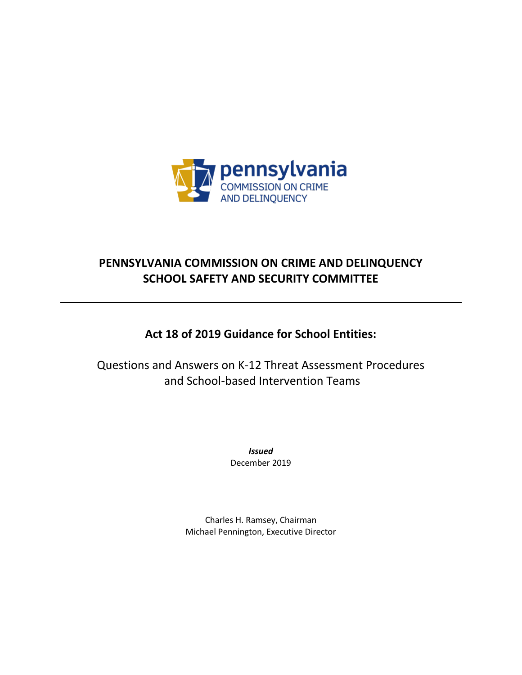

# **PENNSYLVANIA COMMISSION ON CRIME AND DELINQUENCY SCHOOL SAFETY AND SECURITY COMMITTEE**

# **Act 18 of 2019 Guidance for School Entities:**

Questions and Answers on K-12 Threat Assessment Procedures and School-based Intervention Teams

> *Issued* December 2019

Charles H. Ramsey, Chairman Michael Pennington, Executive Director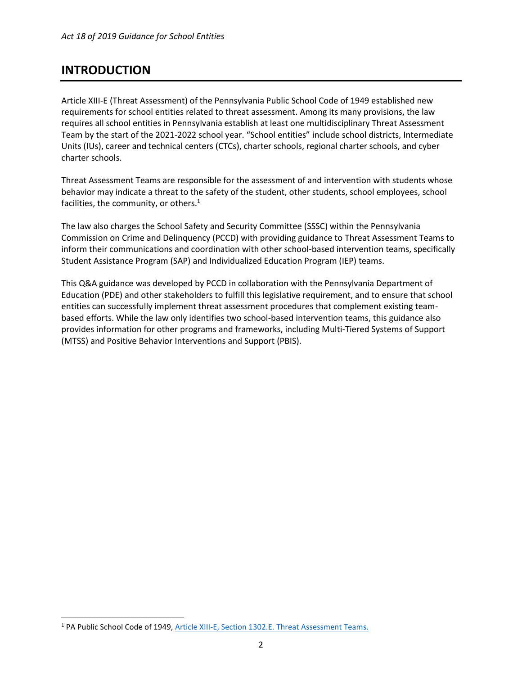# **INTRODUCTION**

 $\overline{\phantom{a}}$ 

Article XIII-E (Threat Assessment) of the Pennsylvania Public School Code of 1949 established new requirements for school entities related to threat assessment. Among its many provisions, the law requires all school entities in Pennsylvania establish at least one multidisciplinary Threat Assessment Team by the start of the 2021-2022 school year. "School entities" include school districts, Intermediate Units (IUs), career and technical centers (CTCs), charter schools, regional charter schools, and cyber charter schools.

Threat Assessment Teams are responsible for the assessment of and intervention with students whose behavior may indicate a threat to the safety of the student, other students, school employees, school facilities, the community, or others. $<sup>1</sup>$ </sup>

The law also charges the School Safety and Security Committee (SSSC) within the Pennsylvania Commission on Crime and Delinquency (PCCD) with providing guidance to Threat Assessment Teams to inform their communications and coordination with other school-based intervention teams, specifically Student Assistance Program (SAP) and Individualized Education Program (IEP) teams.

This Q&A guidance was developed by PCCD in collaboration with the Pennsylvania Department of Education (PDE) and other stakeholders to fulfill this legislative requirement, and to ensure that school entities can successfully implement threat assessment procedures that complement existing teambased efforts. While the law only identifies two school-based intervention teams, this guidance also provides information for other programs and frameworks, including Multi-Tiered Systems of Support (MTSS) and Positive Behavior Interventions and Support (PBIS).

<sup>&</sup>lt;sup>1</sup> PA Public School Code of 1949[, Article XIII-E, Section 1302.E. Threat Assessment Teams.](https://www.legis.state.pa.us/cfdocs/legis/LI/uconsCheck.cfm?txtType=HTM&yr=1949&sessInd=0&smthLwInd=0&act=14&chpt=13E&sctn=2&subsctn=0)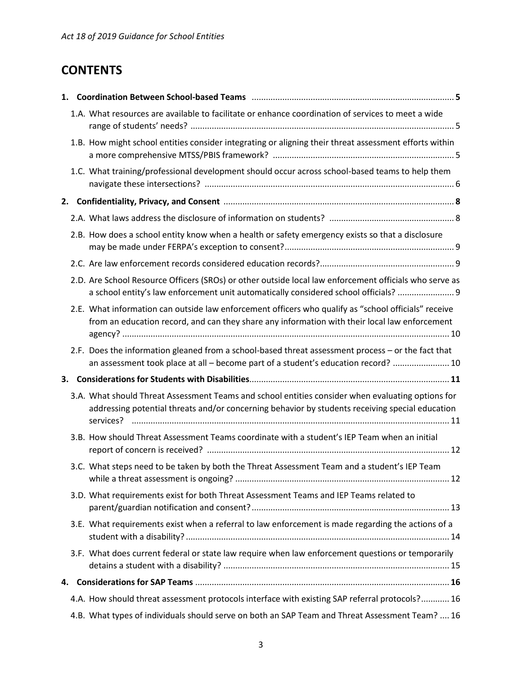# **CONTENTS**

|    | 1.A. What resources are available to facilitate or enhance coordination of services to meet a wide                                                                                                    |
|----|-------------------------------------------------------------------------------------------------------------------------------------------------------------------------------------------------------|
|    | 1.B. How might school entities consider integrating or aligning their threat assessment efforts within                                                                                                |
|    | 1.C. What training/professional development should occur across school-based teams to help them                                                                                                       |
|    |                                                                                                                                                                                                       |
|    |                                                                                                                                                                                                       |
|    | 2.B. How does a school entity know when a health or safety emergency exists so that a disclosure                                                                                                      |
|    |                                                                                                                                                                                                       |
|    | 2.D. Are School Resource Officers (SROs) or other outside local law enforcement officials who serve as<br>a school entity's law enforcement unit automatically considered school officials?  9        |
|    | 2.E. What information can outside law enforcement officers who qualify as "school officials" receive<br>from an education record, and can they share any information with their local law enforcement |
|    | 2.F. Does the information gleaned from a school-based threat assessment process - or the fact that<br>an assessment took place at all - become part of a student's education record?  10              |
| 3. |                                                                                                                                                                                                       |
|    | 3.A. What should Threat Assessment Teams and school entities consider when evaluating options for<br>addressing potential threats and/or concerning behavior by students receiving special education  |
|    | 3.B. How should Threat Assessment Teams coordinate with a student's IEP Team when an initial                                                                                                          |
|    | 3.C. What steps need to be taken by both the Threat Assessment Team and a student's IEP Team                                                                                                          |
|    | 3.D. What requirements exist for both Threat Assessment Teams and IEP Teams related to                                                                                                                |
|    | 3.E. What requirements exist when a referral to law enforcement is made regarding the actions of a                                                                                                    |
|    | 3.F. What does current federal or state law require when law enforcement questions or temporarily                                                                                                     |
| 4. |                                                                                                                                                                                                       |
|    | 4.A. How should threat assessment protocols interface with existing SAP referral protocols? 16                                                                                                        |
|    | 4.B. What types of individuals should serve on both an SAP Team and Threat Assessment Team?  16                                                                                                       |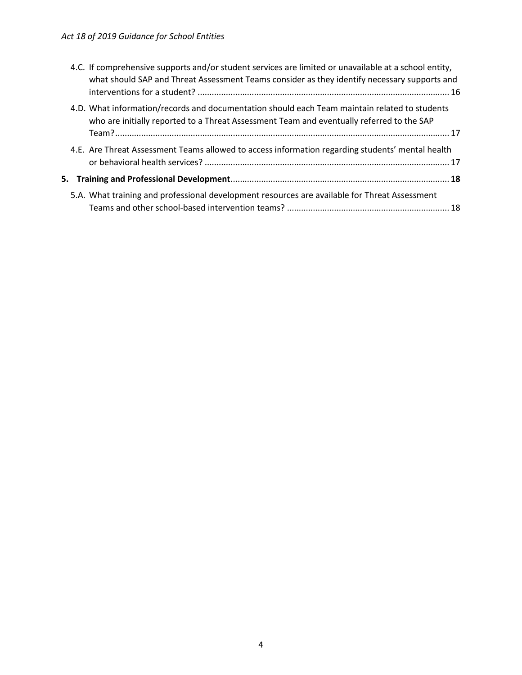|  | 4.C. If comprehensive supports and/or student services are limited or unavailable at a school entity,<br>what should SAP and Threat Assessment Teams consider as they identify necessary supports and |  |
|--|-------------------------------------------------------------------------------------------------------------------------------------------------------------------------------------------------------|--|
|  | 4.D. What information/records and documentation should each Team maintain related to students<br>who are initially reported to a Threat Assessment Team and eventually referred to the SAP            |  |
|  | 4.E. Are Threat Assessment Teams allowed to access information regarding students' mental health                                                                                                      |  |
|  |                                                                                                                                                                                                       |  |
|  | 5.A. What training and professional development resources are available for Threat Assessment                                                                                                         |  |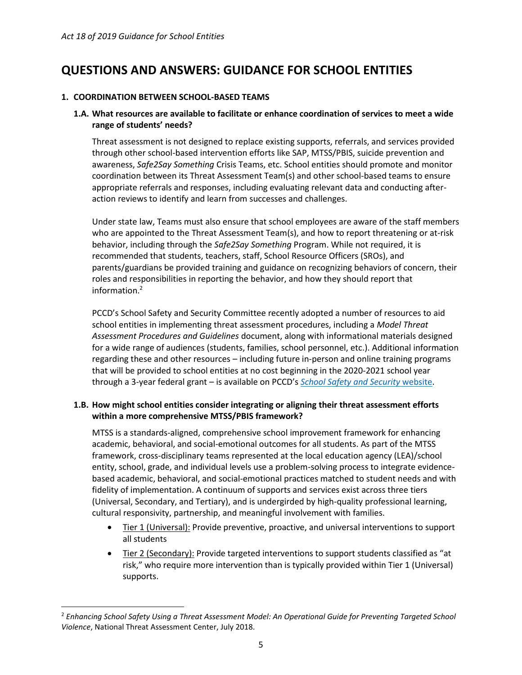$\overline{a}$ 

# **QUESTIONS AND ANSWERS: GUIDANCE FOR SCHOOL ENTITIES**

#### **1. COORDINATION BETWEEN SCHOOL-BASED TEAMS**

## **1.A. What resources are available to facilitate or enhance coordination of services to meet a wide range of students' needs?**

Threat assessment is not designed to replace existing supports, referrals, and services provided through other school-based intervention efforts like SAP, MTSS/PBIS, suicide prevention and awareness, *Safe2Say Something* Crisis Teams, etc. School entities should promote and monitor coordination between its Threat Assessment Team(s) and other school-based teams to ensure appropriate referrals and responses, including evaluating relevant data and conducting afteraction reviews to identify and learn from successes and challenges.

Under state law, Teams must also ensure that school employees are aware of the staff members who are appointed to the Threat Assessment Team(s), and how to report threatening or at-risk behavior, including through the *Safe2Say Something* Program. While not required, it is recommended that students, teachers, staff, School Resource Officers (SROs), and parents/guardians be provided training and guidance on recognizing behaviors of concern, their roles and responsibilities in reporting the behavior, and how they should report that information.<sup>2</sup>

PCCD's School Safety and Security Committee recently adopted a number of resources to aid school entities in implementing threat assessment procedures, including a *Model Threat Assessment Procedures and Guidelines* document, along with informational materials designed for a wide range of audiences (students, families, school personnel, etc.). Additional information regarding these and other resources – including future in-person and online training programs that will be provided to school entities at no cost beginning in the 2020-2021 school year through a 3-year federal grant – is available on PCCD's *[School Safety and Security](https://www.pccd.pa.gov/schoolsafety/Pages/default.aspx)* website.

#### **1.B. How might school entities consider integrating or aligning their threat assessment efforts within a more comprehensive MTSS/PBIS framework?**

MTSS is a standards-aligned, comprehensive school improvement framework for enhancing academic, behavioral, and social-emotional outcomes for all students. As part of the MTSS framework, cross-disciplinary teams represented at the local education agency (LEA)/school entity, school, grade, and individual levels use a problem-solving process to integrate evidencebased academic, behavioral, and social-emotional practices matched to student needs and with fidelity of implementation. A continuum of supports and services exist across three tiers (Universal, Secondary, and Tertiary), and is undergirded by high-quality professional learning, cultural responsivity, partnership, and meaningful involvement with families.

- Tier 1 (Universal): Provide preventive, proactive, and universal interventions to support all students
- Tier 2 (Secondary): Provide targeted interventions to support students classified as "at risk," who require more intervention than is typically provided within Tier 1 (Universal) supports.

<sup>2</sup> *Enhancing School Safety Using a Threat Assessment Model: An Operational Guide for Preventing Targeted School Violence*, National Threat Assessment Center, July 2018.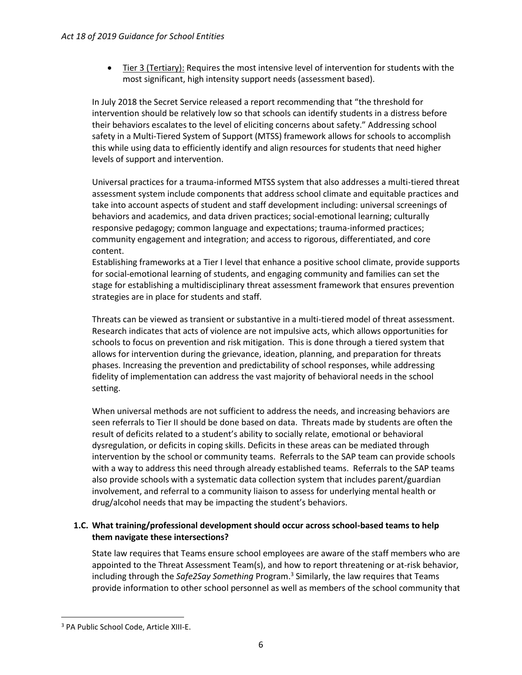• Tier 3 (Tertiary): Requires the most intensive level of intervention for students with the most significant, high intensity support needs (assessment based).

In July 2018 the Secret Service released a report recommending that "the threshold for intervention should be relatively low so that schools can identify students in a distress before their behaviors escalates to the level of eliciting concerns about safety." Addressing school safety in a Multi-Tiered System of Support (MTSS) framework allows for schools to accomplish this while using data to efficiently identify and align resources for students that need higher levels of support and intervention.

Universal practices for a trauma-informed MTSS system that also addresses a multi-tiered threat assessment system include components that address school climate and equitable practices and take into account aspects of student and staff development including: universal screenings of behaviors and academics, and data driven practices; social-emotional learning; culturally responsive pedagogy; common language and expectations; trauma-informed practices; community engagement and integration; and access to rigorous, differentiated, and core content.

Establishing frameworks at a Tier I level that enhance a positive school climate, provide supports for social-emotional learning of students, and engaging community and families can set the stage for establishing a multidisciplinary threat assessment framework that ensures prevention strategies are in place for students and staff.

Threats can be viewed as transient or substantive in a multi-tiered model of threat assessment. Research indicates that acts of violence are not impulsive acts, which allows opportunities for schools to focus on prevention and risk mitigation. This is done through a tiered system that allows for intervention during the grievance, ideation, planning, and preparation for threats phases. Increasing the prevention and predictability of school responses, while addressing fidelity of implementation can address the vast majority of behavioral needs in the school setting.

When universal methods are not sufficient to address the needs, and increasing behaviors are seen referrals to Tier II should be done based on data. Threats made by students are often the result of deficits related to a student's ability to socially relate, emotional or behavioral dysregulation, or deficits in coping skills. Deficits in these areas can be mediated through intervention by the school or community teams. Referrals to the SAP team can provide schools with a way to address this need through already established teams. Referrals to the SAP teams also provide schools with a systematic data collection system that includes parent/guardian involvement, and referral to a community liaison to assess for underlying mental health or drug/alcohol needs that may be impacting the student's behaviors.

## **1.C. What training/professional development should occur across school-based teams to help them navigate these intersections?**

State law requires that Teams ensure school employees are aware of the staff members who are appointed to the Threat Assessment Team(s), and how to report threatening or at-risk behavior, including through the *Safe2Say Something* Program. 3 Similarly, the law requires that Teams provide information to other school personnel as well as members of the school community that

<sup>3</sup> PA Public School Code, Article XIII-E.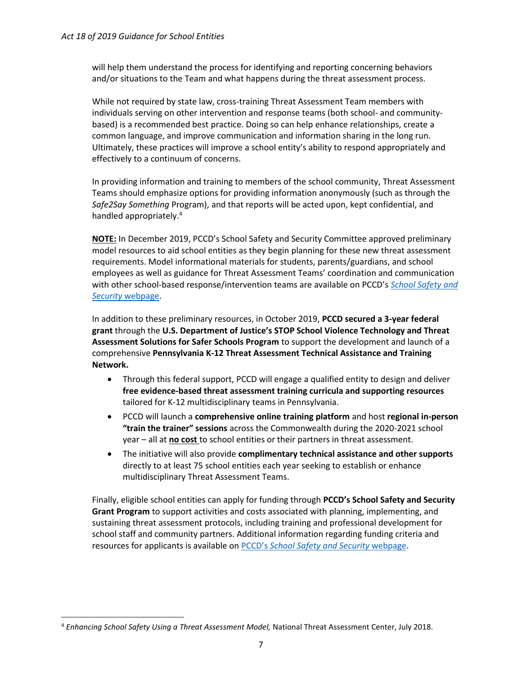will help them understand the process for identifying and reporting concerning behaviors and/or situations to the Team and what happens during the threat assessment process.

While not required by state law, cross-training Threat Assessment Team members with individuals serving on other intervention and response teams (both school- and communitybased) is a recommended best practice. Doing so can help enhance relationships, create a common language, and improve communication and information sharing in the long run. Ultimately, these practices will improve a school entity's ability to respond appropriately and effectively to a continuum of concerns.

In providing information and training to members of the school community, Threat Assessment Teams should emphasize options for providing information anonymously (such as through the *Safe2Say Something* Program), and that reports will be acted upon, kept confidential, and handled appropriately.<sup>4</sup>

**NOTE:** In December 2019, PCCD's School Safety and Security Committee approved preliminary model resources to aid school entities as they begin planning for these new threat assessment requirements. Model informational materials for students, parents/guardians, and school employees as well as guidance for Threat Assessment Teams' coordination and communication with other school-based response/intervention teams are available on PCCD's *[School Safety and](https://www.pccd.pa.gov/schoolsafety/Pages/default.aspx)  Security* [webpage.](https://www.pccd.pa.gov/schoolsafety/Pages/default.aspx)

In addition to these preliminary resources, in October 2019, **PCCD secured a 3-year federal grant** through the **U.S. Department of Justice's STOP School Violence Technology and Threat Assessment Solutions for Safer Schools Program** to support the development and launch of a comprehensive **Pennsylvania K-12 Threat Assessment Technical Assistance and Training Network.**

- Through this federal support, PCCD will engage a qualified entity to design and deliver **free evidence-based threat assessment training curricula and supporting resources** tailored for K-12 multidisciplinary teams in Pennsylvania.
- PCCD will launch a **comprehensive online training platform** and host **regional in-person "train the trainer" sessions** across the Commonwealth during the 2020-2021 school year – all at **no cost** to school entities or their partners in threat assessment.
- The initiative will also provide **complimentary technical assistance and other supports** directly to at least 75 school entities each year seeking to establish or enhance multidisciplinary Threat Assessment Teams.

Finally, eligible school entities can apply for funding through **PCCD's School Safety and Security Grant Program** to support activities and costs associated with planning, implementing, and sustaining threat assessment protocols, including training and professional development for school staff and community partners. Additional information regarding funding criteria and resources for applicants is available on PCCD's *[School Safety and Security](https://www.pccd.pa.gov/schoolsafety/Pages/default.aspx)* webpage.

<sup>4</sup> *Enhancing School Safety Using a Threat Assessment Model,* National Threat Assessment Center, July 2018.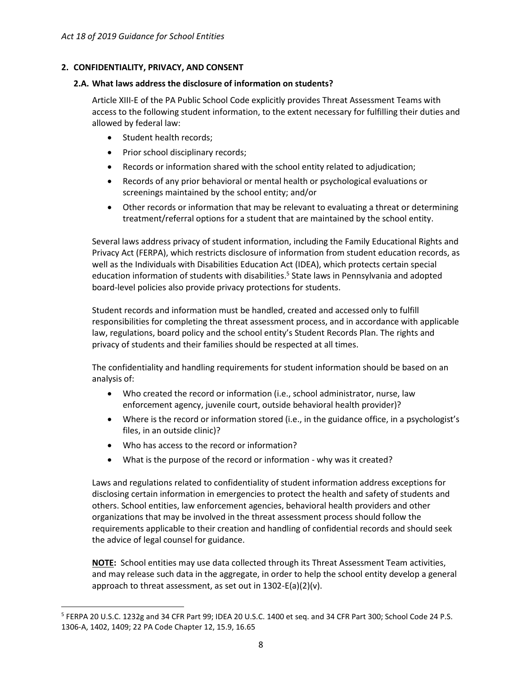### **2. CONFIDENTIALITY, PRIVACY, AND CONSENT**

#### **2.A. What laws address the disclosure of information on students?**

Article XIII-E of the PA Public School Code explicitly provides Threat Assessment Teams with access to the following student information, to the extent necessary for fulfilling their duties and allowed by federal law:

- Student health records;
- Prior school disciplinary records;
- Records or information shared with the school entity related to adjudication;
- Records of any prior behavioral or mental health or psychological evaluations or screenings maintained by the school entity; and/or
- Other records or information that may be relevant to evaluating a threat or determining treatment/referral options for a student that are maintained by the school entity.

Several laws address privacy of student information, including the Family Educational Rights and Privacy Act (FERPA), which restricts disclosure of information from student education records, as well as the Individuals with Disabilities Education Act (IDEA), which protects certain special education information of students with disabilities.<sup>5</sup> State laws in Pennsylvania and adopted board-level policies also provide privacy protections for students.

Student records and information must be handled, created and accessed only to fulfill responsibilities for completing the threat assessment process, and in accordance with applicable law, regulations, board policy and the school entity's Student Records Plan. The rights and privacy of students and their families should be respected at all times.

The confidentiality and handling requirements for student information should be based on an analysis of:

- Who created the record or information (i.e., school administrator, nurse, law enforcement agency, juvenile court, outside behavioral health provider)?
- Where is the record or information stored (i.e., in the guidance office, in a psychologist's files, in an outside clinic)?
- Who has access to the record or information?

 $\overline{a}$ 

What is the purpose of the record or information - why was it created?

Laws and regulations related to confidentiality of student information address exceptions for disclosing certain information in emergencies to protect the health and safety of students and others. School entities, law enforcement agencies, behavioral health providers and other organizations that may be involved in the threat assessment process should follow the requirements applicable to their creation and handling of confidential records and should seek the advice of legal counsel for guidance.

**NOTE:** School entities may use data collected through its Threat Assessment Team activities, and may release such data in the aggregate, in order to help the school entity develop a general approach to threat assessment, as set out in 1302-E(a)(2)(v).

<sup>&</sup>lt;sup>5</sup> FERPA 20 U.S.C. 1232g and 34 CFR Part 99; IDEA 20 U.S.C. 1400 et seq. and 34 CFR Part 300; School Code 24 P.S. 1306-A, 1402, 1409; 22 PA Code Chapter 12, 15.9, 16.65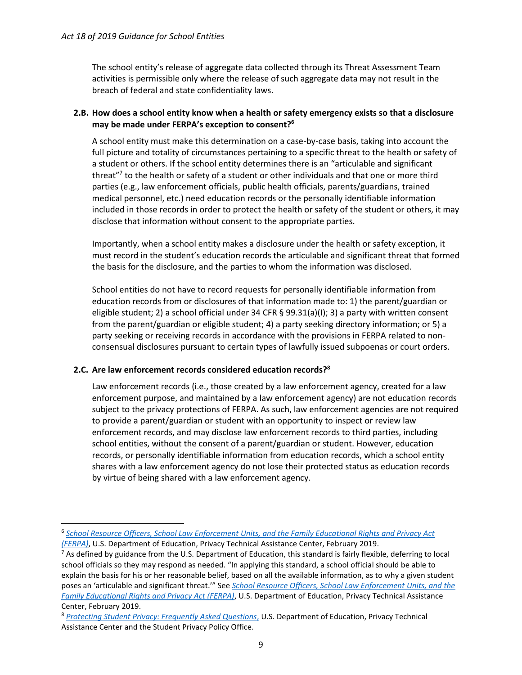The school entity's release of aggregate data collected through its Threat Assessment Team activities is permissible only where the release of such aggregate data may not result in the breach of federal and state confidentiality laws.

#### **2.B. How does a school entity know when a health or safety emergency exists so that a disclosure may be made under FERPA's exception to consent?<sup>6</sup>**

A school entity must make this determination on a case-by-case basis, taking into account the full picture and totality of circumstances pertaining to a specific threat to the health or safety of a student or others. If the school entity determines there is an "articulable and significant threat"<sup>7</sup> to the health or safety of a student or other individuals and that one or more third parties (e.g., law enforcement officials, public health officials, parents/guardians, trained medical personnel, etc.) need education records or the personally identifiable information included in those records in order to protect the health or safety of the student or others, it may disclose that information without consent to the appropriate parties.

Importantly, when a school entity makes a disclosure under the health or safety exception, it must record in the student's education records the articulable and significant threat that formed the basis for the disclosure, and the parties to whom the information was disclosed.

School entities do not have to record requests for personally identifiable information from education records from or disclosures of that information made to: 1) the parent/guardian or eligible student; 2) a school official under 34 CFR § 99.31(a)(I); 3) a party with written consent from the parent/guardian or eligible student; 4) a party seeking directory information; or 5) a party seeking or receiving records in accordance with the provisions in FERPA related to nonconsensual disclosures pursuant to certain types of lawfully issued subpoenas or court orders.

#### **2.C. Are law enforcement records considered education records?<sup>8</sup>**

 $\overline{\phantom{a}}$ 

Law enforcement records (i.e., those created by a law enforcement agency, created for a law enforcement purpose, and maintained by a law enforcement agency) are not education records subject to the privacy protections of FERPA. As such, law enforcement agencies are not required to provide a parent/guardian or student with an opportunity to inspect or review law enforcement records, and may disclose law enforcement records to third parties, including school entities, without the consent of a parent/guardian or student. However, education records, or personally identifiable information from education records, which a school entity shares with a law enforcement agency do not lose their protected status as education records by virtue of being shared with a law enforcement agency.

<sup>6</sup> *[School Resource Officers, School Law Enforcement Units, and the Family Educational Rights and Privacy Act](https://studentprivacy.ed.gov/sites/default/files/resource_document/file/SRO_FAQs_2-5-19_0.pdf)  [\(FERPA\)](https://studentprivacy.ed.gov/sites/default/files/resource_document/file/SRO_FAQs_2-5-19_0.pdf)*, U.S. Department of Education, Privacy Technical Assistance Center, February 2019.

 $7$  As defined by guidance from the U.S. Department of Education, this standard is fairly flexible, deferring to local school officials so they may respond as needed. "In applying this standard, a school official should be able to explain the basis for his or her reasonable belief, based on all the available information, as to why a given student poses an 'articulable and significant threat.'" See *[School Resource Officers, School Law Enforcement Units, and the](https://studentprivacy.ed.gov/sites/default/files/resource_document/file/SRO_FAQs_2-5-19_0.pdf)  [Family Educational Rights and Privacy Act \(FERPA\)](https://studentprivacy.ed.gov/sites/default/files/resource_document/file/SRO_FAQs_2-5-19_0.pdf)*, U.S. Department of Education, Privacy Technical Assistance Center, February 2019.

<sup>8</sup> *[Protecting Student Privacy: Frequently Asked Questions](https://studentprivacy.ed.gov/frequently-asked-questions)*, U.S. Department of Education, Privacy Technical Assistance Center and the Student Privacy Policy Office.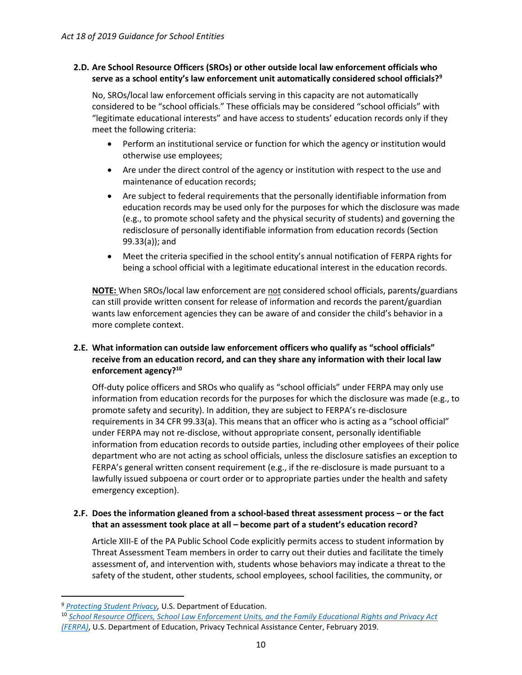### **2.D. Are School Resource Officers (SROs) or other outside local law enforcement officials who serve as a school entity's law enforcement unit automatically considered school officials?<sup>9</sup>**

No, SROs/local law enforcement officials serving in this capacity are not automatically considered to be "school officials." These officials may be considered "school officials" with "legitimate educational interests" and have access to students' education records only if they meet the following criteria:

- Perform an institutional service or function for which the agency or institution would otherwise use employees;
- Are under the direct control of the agency or institution with respect to the use and maintenance of education records;
- Are subject to federal requirements that the personally identifiable information from education records may be used only for the purposes for which the disclosure was made (e.g., to promote school safety and the physical security of students) and governing the redisclosure of personally identifiable information from education records (Section 99.33(a)); and
- Meet the criteria specified in the school entity's annual notification of FERPA rights for being a school official with a legitimate educational interest in the education records.

**NOTE:** When SROs/local law enforcement are not considered school officials, parents/guardians can still provide written consent for release of information and records the parent/guardian wants law enforcement agencies they can be aware of and consider the child's behavior in a more complete context.

#### **2.E. What information can outside law enforcement officers who qualify as "school officials" receive from an education record, and can they share any information with their local law enforcement agency?<sup>10</sup>**

Off-duty police officers and SROs who qualify as "school officials" under FERPA may only use information from education records for the purposes for which the disclosure was made (e.g., to promote safety and security). In addition, they are subject to FERPA's re-disclosure requirements in 34 CFR 99.33(a). This means that an officer who is acting as a "school official" under FERPA may not re-disclose, without appropriate consent, personally identifiable information from education records to outside parties, including other employees of their police department who are not acting as school officials, unless the disclosure satisfies an exception to FERPA's general written consent requirement (e.g., if the re-disclosure is made pursuant to a lawfully issued subpoena or court order or to appropriate parties under the health and safety emergency exception).

## **2.F. Does the information gleaned from a school-based threat assessment process – or the fact that an assessment took place at all – become part of a student's education record?**

Article XIII-E of the PA Public School Code explicitly permits access to student information by Threat Assessment Team members in order to carry out their duties and facilitate the timely assessment of, and intervention with, students whose behaviors may indicate a threat to the safety of the student, other students, school employees, school facilities, the community, or

<sup>9</sup> *[Protecting Student Privacy,](https://studentprivacy.ed.gov/frequently-asked-questions)* U.S. Department of Education.

<sup>10</sup> *[School Resource Officers, School Law Enforcement Units, and the Family Educational Rights and Privacy Act](https://studentprivacy.ed.gov/sites/default/files/resource_document/file/SRO_FAQs_2-5-19_0.pdf)  [\(FERPA\)](https://studentprivacy.ed.gov/sites/default/files/resource_document/file/SRO_FAQs_2-5-19_0.pdf)*, U.S. Department of Education, Privacy Technical Assistance Center, February 2019.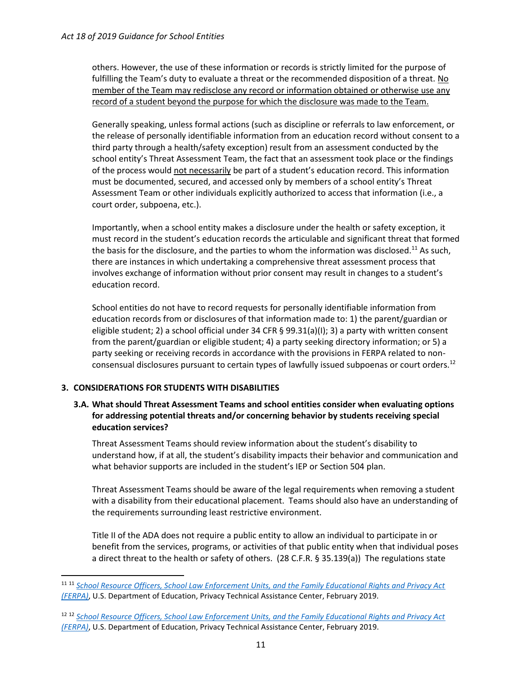others. However, the use of these information or records is strictly limited for the purpose of fulfilling the Team's duty to evaluate a threat or the recommended disposition of a threat. No member of the Team may redisclose any record or information obtained or otherwise use any record of a student beyond the purpose for which the disclosure was made to the Team.

Generally speaking, unless formal actions (such as discipline or referrals to law enforcement, or the release of personally identifiable information from an education record without consent to a third party through a health/safety exception) result from an assessment conducted by the school entity's Threat Assessment Team, the fact that an assessment took place or the findings of the process would not necessarily be part of a student's education record. This information must be documented, secured, and accessed only by members of a school entity's Threat Assessment Team or other individuals explicitly authorized to access that information (i.e., a court order, subpoena, etc.).

Importantly, when a school entity makes a disclosure under the health or safety exception, it must record in the student's education records the articulable and significant threat that formed the basis for the disclosure, and the parties to whom the information was disclosed.<sup>11</sup> As such, there are instances in which undertaking a comprehensive threat assessment process that involves exchange of information without prior consent may result in changes to a student's education record.

School entities do not have to record requests for personally identifiable information from education records from or disclosures of that information made to: 1) the parent/guardian or eligible student; 2) a school official under 34 CFR § 99.31(a)(I); 3) a party with written consent from the parent/guardian or eligible student; 4) a party seeking directory information; or 5) a party seeking or receiving records in accordance with the provisions in FERPA related to nonconsensual disclosures pursuant to certain types of lawfully issued subpoenas or court orders.<sup>12</sup>

# **3. CONSIDERATIONS FOR STUDENTS WITH DISABILITIES**

l

#### **3.A. What should Threat Assessment Teams and school entities consider when evaluating options for addressing potential threats and/or concerning behavior by students receiving special education services?**

Threat Assessment Teams should review information about the student's disability to understand how, if at all, the student's disability impacts their behavior and communication and what behavior supports are included in the student's IEP or Section 504 plan.

Threat Assessment Teams should be aware of the legal requirements when removing a student with a disability from their educational placement. Teams should also have an understanding of the requirements surrounding least restrictive environment.

Title II of the ADA does not require a public entity to allow an individual to participate in or benefit from the services, programs, or activities of that public entity when that individual poses a direct threat to the health or safety of others. (28 C.F.R. § 35.139(a)) The regulations state

<sup>11</sup> <sup>11</sup> *[School Resource Officers, School Law Enforcement Units, and the Family Educational Rights and Privacy Act](https://studentprivacy.ed.gov/sites/default/files/resource_document/file/SRO_FAQs_2-5-19_0.pdf)  [\(FERPA\)](https://studentprivacy.ed.gov/sites/default/files/resource_document/file/SRO_FAQs_2-5-19_0.pdf)*, U.S. Department of Education, Privacy Technical Assistance Center, February 2019.

<sup>12</sup> <sup>12</sup> *[School Resource Officers, School Law Enforcement Units, and the Family Educational Rights and Privacy Act](https://studentprivacy.ed.gov/sites/default/files/resource_document/file/SRO_FAQs_2-5-19_0.pdf)  [\(FERPA\)](https://studentprivacy.ed.gov/sites/default/files/resource_document/file/SRO_FAQs_2-5-19_0.pdf)*, U.S. Department of Education, Privacy Technical Assistance Center, February 2019.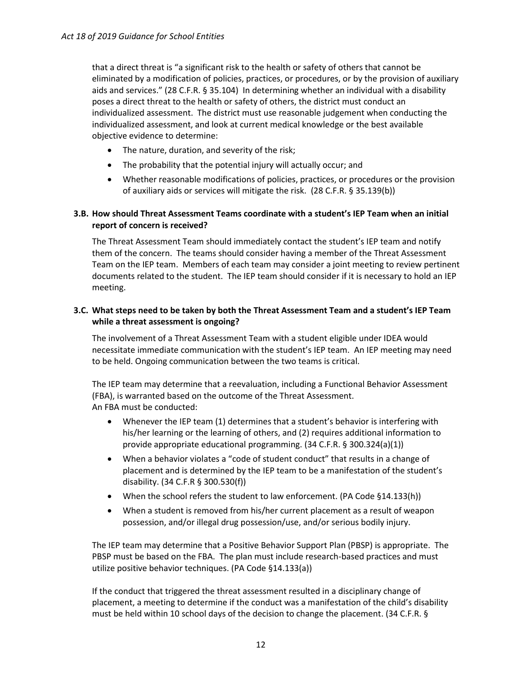that a direct threat is "a significant risk to the health or safety of others that cannot be eliminated by a modification of policies, practices, or procedures, or by the provision of auxiliary aids and services." (28 C.F.R. § 35.104) In determining whether an individual with a disability poses a direct threat to the health or safety of others, the district must conduct an individualized assessment. The district must use reasonable judgement when conducting the individualized assessment, and look at current medical knowledge or the best available objective evidence to determine:

- The nature, duration, and severity of the risk;
- The probability that the potential injury will actually occur; and
- Whether reasonable modifications of policies, practices, or procedures or the provision of auxiliary aids or services will mitigate the risk. (28 C.F.R. § 35.139(b))

## **3.B. How should Threat Assessment Teams coordinate with a student's IEP Team when an initial report of concern is received?**

The Threat Assessment Team should immediately contact the student's IEP team and notify them of the concern. The teams should consider having a member of the Threat Assessment Team on the IEP team. Members of each team may consider a joint meeting to review pertinent documents related to the student. The IEP team should consider if it is necessary to hold an IEP meeting.

#### **3.C. What steps need to be taken by both the Threat Assessment Team and a student's IEP Team while a threat assessment is ongoing?**

The involvement of a Threat Assessment Team with a student eligible under IDEA would necessitate immediate communication with the student's IEP team. An IEP meeting may need to be held. Ongoing communication between the two teams is critical.

The IEP team may determine that a reevaluation, including a Functional Behavior Assessment (FBA), is warranted based on the outcome of the Threat Assessment. An FBA must be conducted:

- Whenever the IEP team (1) determines that a student's behavior is interfering with his/her learning or the learning of others, and (2) requires additional information to provide appropriate educational programming. (34 C.F.R. § 300.324(a)(1))
- When a behavior violates a "code of student conduct" that results in a change of placement and is determined by the IEP team to be a manifestation of the student's disability. (34 C.F.R § 300.530(f))
- When the school refers the student to law enforcement. (PA Code §14.133(h))
- When a student is removed from his/her current placement as a result of weapon possession, and/or illegal drug possession/use, and/or serious bodily injury.

The IEP team may determine that a Positive Behavior Support Plan (PBSP) is appropriate. The PBSP must be based on the FBA. The plan must include research-based practices and must utilize positive behavior techniques. (PA Code §14.133(a))

If the conduct that triggered the threat assessment resulted in a disciplinary change of placement, a meeting to determine if the conduct was a manifestation of the child's disability must be held within 10 school days of the decision to change the placement. (34 C.F.R. §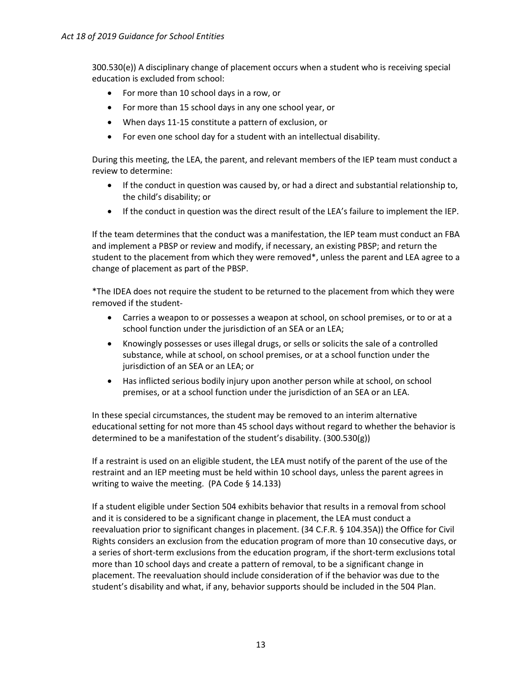300.530(e)) A disciplinary change of placement occurs when a student who is receiving special education is excluded from school:

- For more than 10 school days in a row, or
- For more than 15 school days in any one school year, or
- When days 11-15 constitute a pattern of exclusion, or
- For even one school day for a student with an intellectual disability.

During this meeting, the LEA, the parent, and relevant members of the IEP team must conduct a review to determine:

- If the conduct in question was caused by, or had a direct and substantial relationship to, the child's disability; or
- If the conduct in question was the direct result of the LEA's failure to implement the IEP.

If the team determines that the conduct was a manifestation, the IEP team must conduct an FBA and implement a PBSP or review and modify, if necessary, an existing PBSP; and return the student to the placement from which they were removed\*, unless the parent and LEA agree to a change of placement as part of the PBSP.

\*The IDEA does not require the student to be returned to the placement from which they were removed if the student-

- Carries a weapon to or possesses a weapon at school, on school premises, or to or at a school function under the jurisdiction of an SEA or an LEA;
- Knowingly possesses or uses illegal drugs, or sells or solicits the sale of a controlled substance, while at school, on school premises, or at a school function under the jurisdiction of an SEA or an LEA; or
- Has inflicted serious bodily injury upon another person while at school, on school premises, or at a school function under the jurisdiction of an SEA or an LEA.

In these special circumstances, the student may be removed to an interim alternative educational setting for not more than 45 school days without regard to whether the behavior is determined to be a manifestation of the student's disability. (300.530(g))

If a restraint is used on an eligible student, the LEA must notify of the parent of the use of the restraint and an IEP meeting must be held within 10 school days, unless the parent agrees in writing to waive the meeting. (PA Code § 14.133)

If a student eligible under Section 504 exhibits behavior that results in a removal from school and it is considered to be a significant change in placement, the LEA must conduct a reevaluation prior to significant changes in placement. (34 C.F.R. § 104.35A)) the Office for Civil Rights considers an exclusion from the education program of more than 10 consecutive days, or a series of short-term exclusions from the education program, if the short-term exclusions total more than 10 school days and create a pattern of removal, to be a significant change in placement. The reevaluation should include consideration of if the behavior was due to the student's disability and what, if any, behavior supports should be included in the 504 Plan.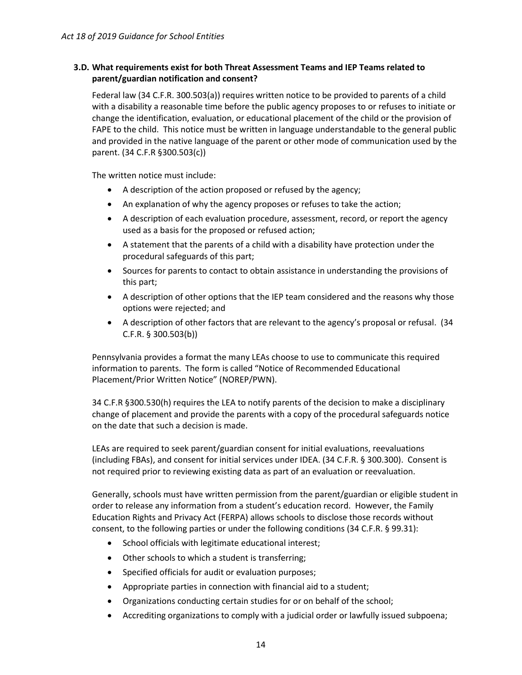#### **3.D. What requirements exist for both Threat Assessment Teams and IEP Teams related to parent/guardian notification and consent?**

Federal law (34 C.F.R. 300.503(a)) requires written notice to be provided to parents of a child with a disability a reasonable time before the public agency proposes to or refuses to initiate or change the identification, evaluation, or educational placement of the child or the provision of FAPE to the child. This notice must be written in language understandable to the general public and provided in the native language of the parent or other mode of communication used by the parent. (34 C.F.R §300.503(c))

The written notice must include:

- A description of the action proposed or refused by the agency;
- An explanation of why the agency proposes or refuses to take the action;
- A description of each evaluation procedure, assessment, record, or report the agency used as a basis for the proposed or refused action;
- A statement that the parents of a child with a disability have protection under the procedural safeguards of this part;
- Sources for parents to contact to obtain assistance in understanding the provisions of this part;
- A description of other options that the IEP team considered and the reasons why those options were rejected; and
- A description of other factors that are relevant to the agency's proposal or refusal. (34 C.F.R. § 300.503(b))

Pennsylvania provides a format the many LEAs choose to use to communicate this required information to parents. The form is called "Notice of Recommended Educational Placement/Prior Written Notice" (NOREP/PWN).

34 C.F.R §300.530(h) requires the LEA to notify parents of the decision to make a disciplinary change of placement and provide the parents with a copy of the procedural safeguards notice on the date that such a decision is made.

LEAs are required to seek parent/guardian consent for initial evaluations, reevaluations (including FBAs), and consent for initial services under IDEA. (34 C.F.R. § 300.300). Consent is not required prior to reviewing existing data as part of an evaluation or reevaluation.

Generally, schools must have written permission from the parent/guardian or eligible student in order to release any information from a student's education record. However, the Family Education Rights and Privacy Act (FERPA) allows schools to disclose those records without consent, to the following parties or under the following conditions (34 C.F.R. § 99.31):

- School officials with legitimate educational interest;
- Other schools to which a student is transferring;
- Specified officials for audit or evaluation purposes;
- Appropriate parties in connection with financial aid to a student;
- Organizations conducting certain studies for or on behalf of the school;
- Accrediting organizations to comply with a judicial order or lawfully issued subpoena;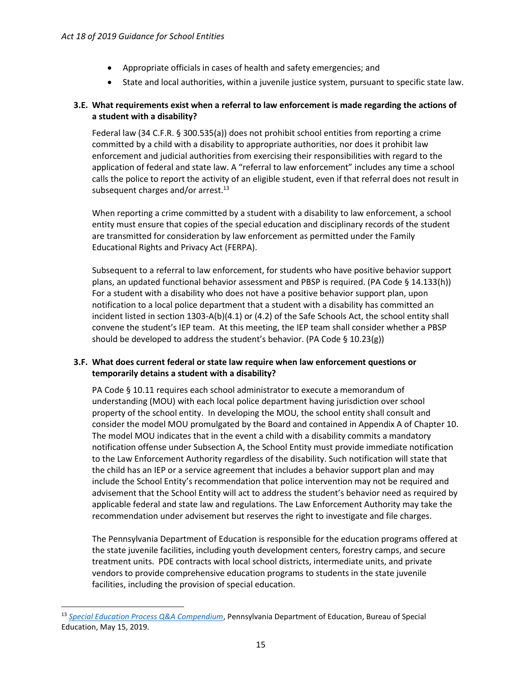- Appropriate officials in cases of health and safety emergencies; and
- State and local authorities, within a juvenile justice system, pursuant to specific state law.

## **3.E. What requirements exist when a referral to law enforcement is made regarding the actions of a student with a disability?**

Federal law (34 C.F.R. § 300.535(a)) does not prohibit school entities from reporting a crime committed by a child with a disability to appropriate authorities, nor does it prohibit law enforcement and judicial authorities from exercising their responsibilities with regard to the application of federal and state law. A "referral to law enforcement" includes any time a school calls the police to report the activity of an eligible student, even if that referral does not result in subsequent charges and/or arrest.<sup>13</sup>

When reporting a crime committed by a student with a disability to law enforcement, a school entity must ensure that copies of the special education and disciplinary records of the student are transmitted for consideration by law enforcement as permitted under the Family Educational Rights and Privacy Act (FERPA).

Subsequent to a referral to law enforcement, for students who have positive behavior support plans, an updated functional behavior assessment and PBSP is required. (PA Code § 14.133(h)) For a student with a disability who does not have a positive behavior support plan, upon notification to a local police department that a student with a disability has committed an incident listed in section 1303-A(b)(4.1) or (4.2) of the Safe Schools Act, the school entity shall convene the student's IEP team. At this meeting, the IEP team shall consider whether a PBSP should be developed to address the student's behavior. (PA Code § 10.23(g))

#### **3.F. What does current federal or state law require when law enforcement questions or temporarily detains a student with a disability?**

PA Code § 10.11 requires each school administrator to execute a memorandum of understanding (MOU) with each local police department having jurisdiction over school property of the school entity. In developing the MOU, the school entity shall consult and consider the model MOU promulgated by the Board and contained in Appendix A of Chapter 10. The model MOU indicates that in the event a child with a disability commits a mandatory notification offense under Subsection A, the School Entity must provide immediate notification to the Law Enforcement Authority regardless of the disability. Such notification will state that the child has an IEP or a service agreement that includes a behavior support plan and may include the School Entity's recommendation that police intervention may not be required and advisement that the School Entity will act to address the student's behavior need as required by applicable federal and state law and regulations. The Law Enforcement Authority may take the recommendation under advisement but reserves the right to investigate and file charges.

The Pennsylvania Department of Education is responsible for the education programs offered at the state juvenile facilities, including youth development centers, forestry camps, and secure treatment units. PDE contracts with local school districts, intermediate units, and private vendors to provide comprehensive education programs to students in the state juvenile facilities, including the provision of special education.

 $\overline{a}$ 

<sup>13</sup> *[Special Education Process Q&A Compendium](https://www.pattan.net/Publications/Special-Education-Process-QA-Compendium)*, Pennsylvania Department of Education, Bureau of Special Education, May 15, 2019.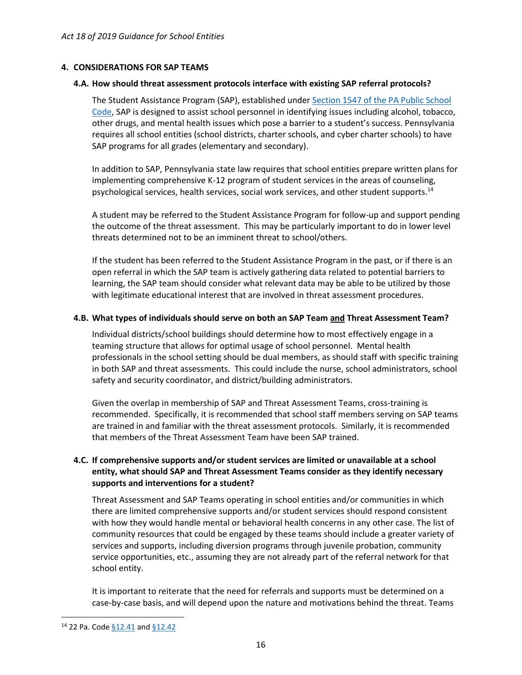#### **4. CONSIDERATIONS FOR SAP TEAMS**

#### **4.A. How should threat assessment protocols interface with existing SAP referral protocols?**

The Student Assistance Program (SAP), established under [Section 1547 of the PA Public School](https://www.legis.state.pa.us/cfdocs/legis/LI/uconsCheck.cfm?txtType=HTM&yr=1949&sessInd=0&smthLwInd=0&act=14&chpt=15&sctn=47&subsctn=0)  [Code,](https://www.legis.state.pa.us/cfdocs/legis/LI/uconsCheck.cfm?txtType=HTM&yr=1949&sessInd=0&smthLwInd=0&act=14&chpt=15&sctn=47&subsctn=0) SAP is designed to assist school personnel in identifying issues including alcohol, tobacco, other drugs, and mental health issues which pose a barrier to a student's success. Pennsylvania requires all school entities (school districts, charter schools, and cyber charter schools) to have SAP programs for all grades (elementary and secondary).

In addition to SAP, Pennsylvania state law requires that school entities prepare written plans for implementing comprehensive K-12 program of student services in the areas of counseling, psychological services, health services, social work services, and other student supports.<sup>14</sup>

A student may be referred to the Student Assistance Program for follow-up and support pending the outcome of the threat assessment. This may be particularly important to do in lower level threats determined not to be an imminent threat to school/others.

If the student has been referred to the Student Assistance Program in the past, or if there is an open referral in which the SAP team is actively gathering data related to potential barriers to learning, the SAP team should consider what relevant data may be able to be utilized by those with legitimate educational interest that are involved in threat assessment procedures.

#### **4.B. What types of individuals should serve on both an SAP Team and Threat Assessment Team?**

Individual districts/school buildings should determine how to most effectively engage in a teaming structure that allows for optimal usage of school personnel. Mental health professionals in the school setting should be dual members, as should staff with specific training in both SAP and threat assessments. This could include the nurse, school administrators, school safety and security coordinator, and district/building administrators.

Given the overlap in membership of SAP and Threat Assessment Teams, cross-training is recommended. Specifically, it is recommended that school staff members serving on SAP teams are trained in and familiar with the threat assessment protocols. Similarly, it is recommended that members of the Threat Assessment Team have been SAP trained.

#### **4.C. If comprehensive supports and/or student services are limited or unavailable at a school entity, what should SAP and Threat Assessment Teams consider as they identify necessary supports and interventions for a student?**

Threat Assessment and SAP Teams operating in school entities and/or communities in which there are limited comprehensive supports and/or student services should respond consistent with how they would handle mental or behavioral health concerns in any other case. The list of community resources that could be engaged by these teams should include a greater variety of services and supports, including diversion programs through juvenile probation, community service opportunities, etc., assuming they are not already part of the referral network for that school entity.

It is important to reiterate that the need for referrals and supports must be determined on a case-by-case basis, and will depend upon the nature and motivations behind the threat. Teams

<sup>14 22</sup> Pa. Code [§12.41](https://www.pacode.com/secure/data/022/chapter12/s12.41.html) an[d §12.42](https://www.pacode.com/secure/data/022/chapter12/s12.42.html)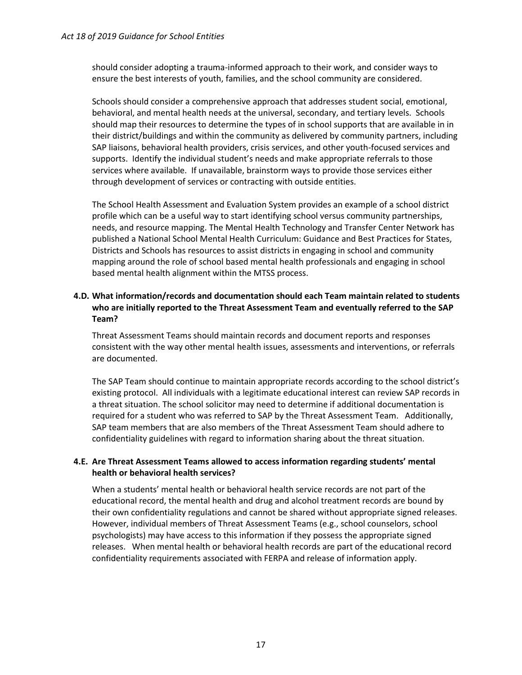should consider adopting a trauma-informed approach to their work, and consider ways to ensure the best interests of youth, families, and the school community are considered.

Schools should consider a comprehensive approach that addresses student social, emotional, behavioral, and mental health needs at the universal, secondary, and tertiary levels. Schools should map their resources to determine the types of in school supports that are available in in their district/buildings and within the community as delivered by community partners, including SAP liaisons, behavioral health providers, crisis services, and other youth-focused services and supports. Identify the individual student's needs and make appropriate referrals to those services where available. If unavailable, brainstorm ways to provide those services either through development of services or contracting with outside entities.

The School Health Assessment and Evaluation System provides an example of a school district profile which can be a useful way to start identifying school versus community partnerships, needs, and resource mapping. The Mental Health Technology and Transfer Center Network has published a National School Mental Health Curriculum: Guidance and Best Practices for States, Districts and Schools has resources to assist districts in engaging in school and community mapping around the role of school based mental health professionals and engaging in school based mental health alignment within the MTSS process.

#### **4.D. What information/records and documentation should each Team maintain related to students who are initially reported to the Threat Assessment Team and eventually referred to the SAP Team?**

Threat Assessment Teams should maintain records and document reports and responses consistent with the way other mental health issues, assessments and interventions, or referrals are documented.

The SAP Team should continue to maintain appropriate records according to the school district's existing protocol. All individuals with a legitimate educational interest can review SAP records in a threat situation. The school solicitor may need to determine if additional documentation is required for a student who was referred to SAP by the Threat Assessment Team. Additionally, SAP team members that are also members of the Threat Assessment Team should adhere to confidentiality guidelines with regard to information sharing about the threat situation.

#### **4.E. Are Threat Assessment Teams allowed to access information regarding students' mental health or behavioral health services?**

When a students' mental health or behavioral health service records are not part of the educational record, the mental health and drug and alcohol treatment records are bound by their own confidentiality regulations and cannot be shared without appropriate signed releases. However, individual members of Threat Assessment Teams (e.g., school counselors, school psychologists) may have access to this information if they possess the appropriate signed releases. When mental health or behavioral health records are part of the educational record confidentiality requirements associated with FERPA and release of information apply.